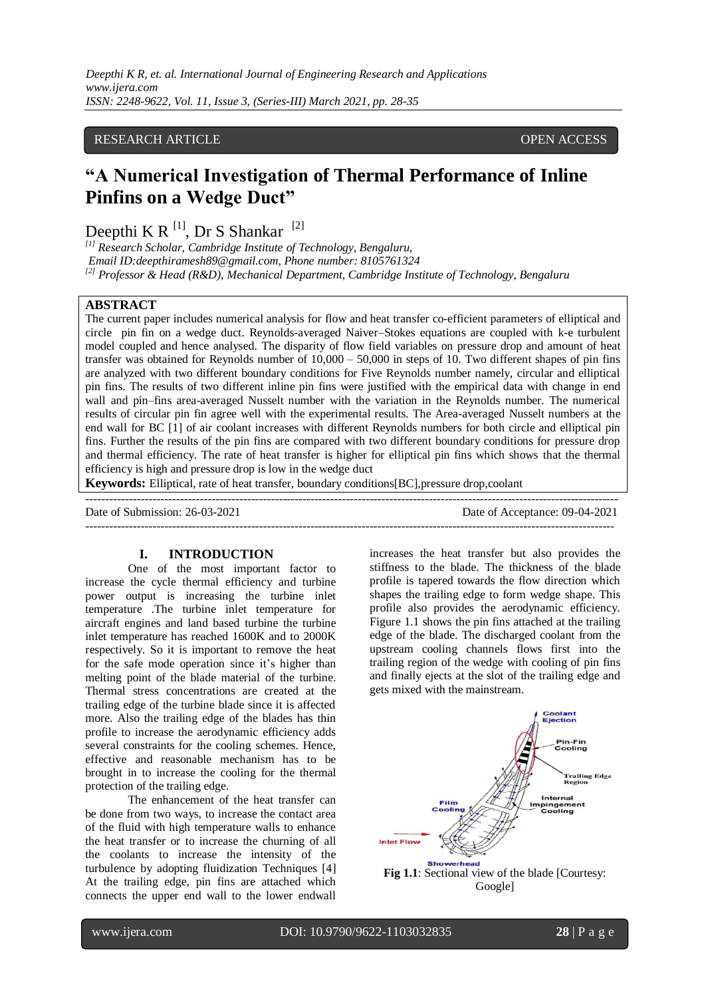## RESEARCH ARTICLE **CONTRACT ARTICLE** AND LOTE OPEN ACCESS OPEN ACCESS

# **"A Numerical Investigation of Thermal Performance of Inline Pinfins on a Wedge Duct"**

Deepthi K R  $^{[1]}$ , Dr S Shankar  $^{[2]}$ 

*[1] Research Scholar, Cambridge Institute of Technology, Bengaluru, Email ID:deepthiramesh89@gmail.com, Phone number: 8105761324 [2] Professor & Head (R&D), Mechanical Department, Cambridge Institute of Technology, Bengaluru*

## **ABSTRACT**

The current paper includes numerical analysis for flow and heat transfer co-efficient parameters of elliptical and circle pin fin on a wedge duct. Reynolds-averaged Naiver–Stokes equations are coupled with k-e turbulent model coupled and hence analysed. The disparity of flow field variables on pressure drop and amount of heat transfer was obtained for Reynolds number of 10,000 – 50,000 in steps of 10. Two different shapes of pin fins are analyzed with two different boundary conditions for Five Reynolds number namely, circular and elliptical pin fins. The results of two different inline pin fins were justified with the empirical data with change in end wall and pin–fins area-averaged Nusselt number with the variation in the Reynolds number. The numerical results of circular pin fin agree well with the experimental results. The Area-averaged Nusselt numbers at the end wall for BC [1] of air coolant increases with different Reynolds numbers for both circle and elliptical pin fins. Further the results of the pin fins are compared with two different boundary conditions for pressure drop and thermal efficiency. The rate of heat transfer is higher for elliptical pin fins which shows that the thermal efficiency is high and pressure drop is low in the wedge duct

---------------------------------------------------------------------------------------------------------------------------------------

**Keywords:** Elliptical, rate of heat transfer, boundary conditions[BC],pressure drop,coolant

Date of Submission: 26-03-2021 Date of Acceptance: 09-04-2021 --------------------------------------------------------------------------------------------------------------------------------------

#### **I. INTRODUCTION**

One of the most important factor to increase the cycle thermal efficiency and turbine power output is increasing the turbine inlet temperature .The turbine inlet temperature for aircraft engines and land based turbine the turbine inlet temperature has reached 1600K and to 2000K respectively. So it is important to remove the heat for the safe mode operation since it's higher than melting point of the blade material of the turbine. Thermal stress concentrations are created at the trailing edge of the turbine blade since it is affected more. Also the trailing edge of the blades has thin profile to increase the aerodynamic efficiency adds several constraints for the cooling schemes. Hence, effective and reasonable mechanism has to be brought in to increase the cooling for the thermal protection of the trailing edge.

The enhancement of the heat transfer can be done from two ways, to increase the contact area of the fluid with high temperature walls to enhance the heat transfer or to increase the churning of all the coolants to increase the intensity of the turbulence by adopting fluidization Techniques [4] At the trailing edge, pin fins are attached which connects the upper end wall to the lower endwall increases the heat transfer but also provides the stiffness to the blade. The thickness of the blade profile is tapered towards the flow direction which shapes the trailing edge to form wedge shape. This profile also provides the aerodynamic efficiency. Figure 1.1 shows the pin fins attached at the trailing edge of the blade. The discharged coolant from the upstream cooling channels flows first into the trailing region of the wedge with cooling of pin fins and finally ejects at the slot of the trailing edge and gets mixed with the mainstream.

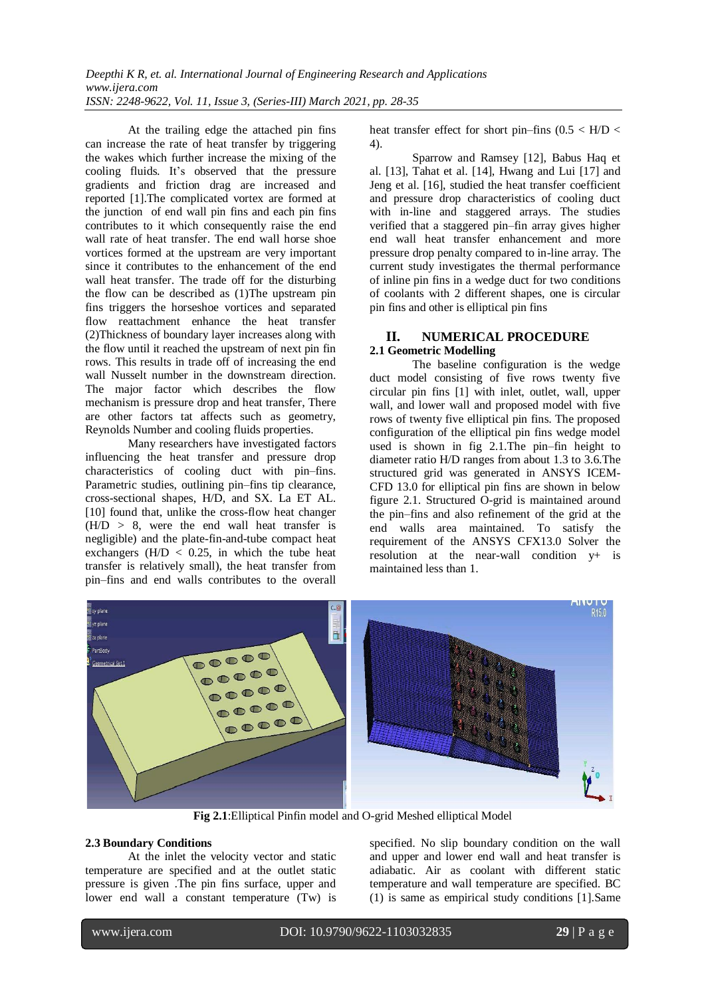At the trailing edge the attached pin fins can increase the rate of heat transfer by triggering the wakes which further increase the mixing of the cooling fluids. It's observed that the pressure gradients and friction drag are increased and reported [1].The complicated vortex are formed at the junction of end wall pin fins and each pin fins contributes to it which consequently raise the end wall rate of heat transfer. The end wall horse shoe vortices formed at the upstream are very important since it contributes to the enhancement of the end wall heat transfer. The trade off for the disturbing the flow can be described as (1)The upstream pin fins triggers the horseshoe vortices and separated flow reattachment enhance the heat transfer (2)Thickness of boundary layer increases along with the flow until it reached the upstream of next pin fin rows. This results in trade off of increasing the end wall Nusselt number in the downstream direction. The major factor which describes the flow mechanism is pressure drop and heat transfer, There are other factors tat affects such as geometry, Reynolds Number and cooling fluids properties.

Many researchers have investigated factors influencing the heat transfer and pressure drop characteristics of cooling duct with pin–fins. Parametric studies, outlining pin–fins tip clearance, cross-sectional shapes, H/D, and SX. La ET AL. [10] found that, unlike the cross-flow heat changer  $(H/D > 8$ , were the end wall heat transfer is negligible) and the plate-fin-and-tube compact heat exchangers  $(H/D < 0.25$ , in which the tube heat transfer is relatively small), the heat transfer from pin–fins and end walls contributes to the overall heat transfer effect for short pin–fins  $(0.5 < H/D <$ 4).

Sparrow and Ramsey [12], Babus Haq et al. [13], Tahat et al. [14], Hwang and Lui [17] and Jeng et al. [16], studied the heat transfer coefficient and pressure drop characteristics of cooling duct with in-line and staggered arrays. The studies verified that a staggered pin–fin array gives higher end wall heat transfer enhancement and more pressure drop penalty compared to in-line array. The current study investigates the thermal performance of inline pin fins in a wedge duct for two conditions of coolants with 2 different shapes, one is circular pin fins and other is elliptical pin fins

# **II. NUMERICAL PROCEDURE**

## **2.1 Geometric Modelling**

The baseline configuration is the wedge duct model consisting of five rows twenty five circular pin fins [1] with inlet, outlet, wall, upper wall, and lower wall and proposed model with five rows of twenty five elliptical pin fins. The proposed configuration of the elliptical pin fins wedge model used is shown in fig 2.1.The pin–fin height to diameter ratio H/D ranges from about 1.3 to 3.6.The structured grid was generated in ANSYS ICEM-CFD 13.0 for elliptical pin fins are shown in below figure 2.1. Structured O-grid is maintained around the pin–fins and also refinement of the grid at the end walls area maintained. To satisfy the requirement of the ANSYS CFX13.0 Solver the resolution at the near-wall condition y+ is maintained less than 1.



**Fig 2.1**:Elliptical Pinfin model and O-grid Meshed elliptical Model

## **2.3 Boundary Conditions**

At the inlet the velocity vector and static temperature are specified and at the outlet static pressure is given .The pin fins surface, upper and lower end wall a constant temperature (Tw) is specified. No slip boundary condition on the wall and upper and lower end wall and heat transfer is adiabatic. Air as coolant with different static temperature and wall temperature are specified. BC (1) is same as empirical study conditions [1].Same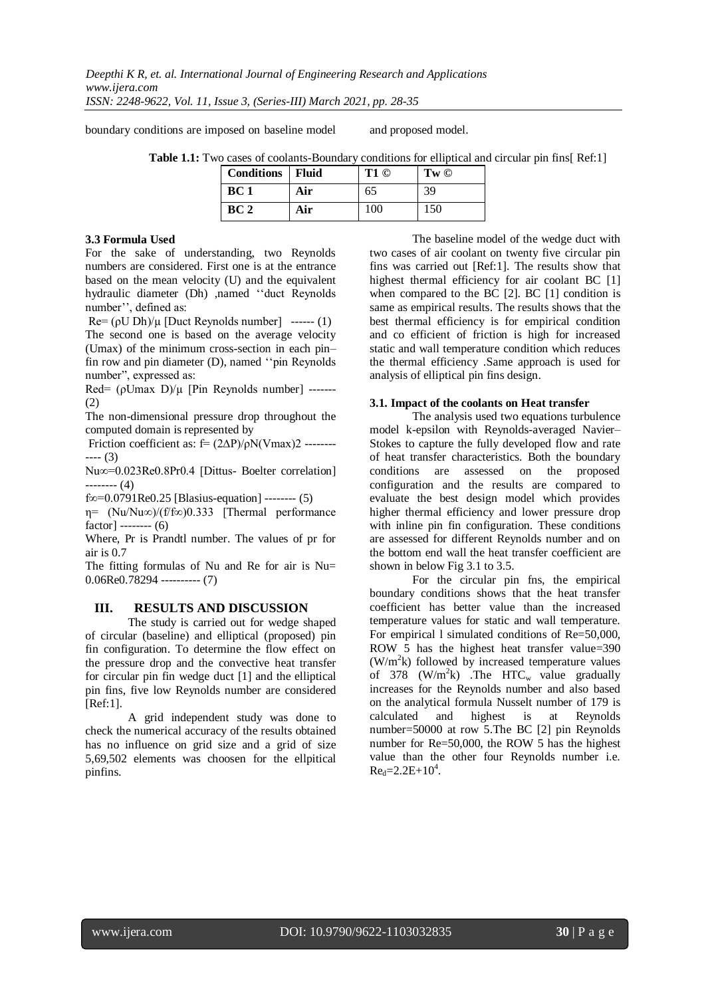boundary conditions are imposed on baseline model and proposed model.

 **Table 1.1:** Two cases of coolants-Boundary conditions for elliptical and circular pin fins[ Ref:1]

|  | <b>Conditions</b> Fluid |     | T1 © | $Tw \circledcirc$ |
|--|-------------------------|-----|------|-------------------|
|  | BC <sub>1</sub>         | Air | 65   | 39                |
|  | BC2                     | Air | 100  | 150               |

#### **3.3 Formula Used**

For the sake of understanding, two Reynolds numbers are considered. First one is at the entrance based on the mean velocity (U) and the equivalent hydraulic diameter (Dh) ,named ''duct Reynolds number'', defined as:

 $\text{Re} = (\rho U Dh)/\mu$  [Duct Reynolds number] ------ (1) The second one is based on the average velocity (Umax) of the minimum cross-section in each pin– fin row and pin diameter (D), named ''pin Reynolds number", expressed as:

Red= (ρUmax D)/μ [Pin Reynolds number] -------(2)

The non-dimensional pressure drop throughout the computed domain is represented by

Friction coefficient as:  $f=(2\Delta P)/\rho N(Vmax)$ 2 ------------ (3)

Nu∞=0.023Re0.8Pr0.4 [Dittus- Boelter correlation] -------- (4)

f∞=0.0791Re0.25 [Blasius-equation] -------- (5)

η= (Nu/Nu∞)/(f/f∞)0.333 [Thermal performance factor] -------- (6)

Where, Pr is Prandtl number. The values of pr for air is 0.7

The fitting formulas of Nu and Re for air is Nu= 0.06Re0.78294 ---------- (7)

## **III. RESULTS AND DISCUSSION**

The study is carried out for wedge shaped of circular (baseline) and elliptical (proposed) pin fin configuration. To determine the flow effect on the pressure drop and the convective heat transfer for circular pin fin wedge duct [1] and the elliptical pin fins, five low Reynolds number are considered [Ref:1].

A grid independent study was done to check the numerical accuracy of the results obtained has no influence on grid size and a grid of size 5,69,502 elements was choosen for the ellpitical pinfins.

The baseline model of the wedge duct with two cases of air coolant on twenty five circular pin fins was carried out [Ref:1]. The results show that highest thermal efficiency for air coolant BC [1] when compared to the BC [2]. BC [1] condition is same as empirical results. The results shows that the best thermal efficiency is for empirical condition and co efficient of friction is high for increased static and wall temperature condition which reduces the thermal efficiency .Same approach is used for analysis of elliptical pin fins design.

#### **3.1. Impact of the coolants on Heat transfer**

The analysis used two equations turbulence model k-epsilon with Reynolds-averaged Navier– Stokes to capture the fully developed flow and rate of heat transfer characteristics. Both the boundary conditions are assessed on the proposed configuration and the results are compared to evaluate the best design model which provides higher thermal efficiency and lower pressure drop with inline pin fin configuration. These conditions are assessed for different Reynolds number and on the bottom end wall the heat transfer coefficient are shown in below Fig 3.1 to 3.5.

For the circular pin fns, the empirical boundary conditions shows that the heat transfer coefficient has better value than the increased temperature values for static and wall temperature. For empirical l simulated conditions of Re=50,000, ROW 5 has the highest heat transfer value=390  $(W/m<sup>2</sup>k)$  followed by increased temperature values of 378 (W/m<sup>2</sup>k) .The HTC<sub>w</sub> value gradually increases for the Reynolds number and also based on the analytical formula Nusselt number of 179 is calculated and highest is at Reynolds number=50000 at row 5.The BC [2] pin Reynolds number for Re=50,000, the ROW 5 has the highest value than the other four Reynolds number i.e.  $Re<sub>d</sub>=2.2E+10<sup>4</sup>$ .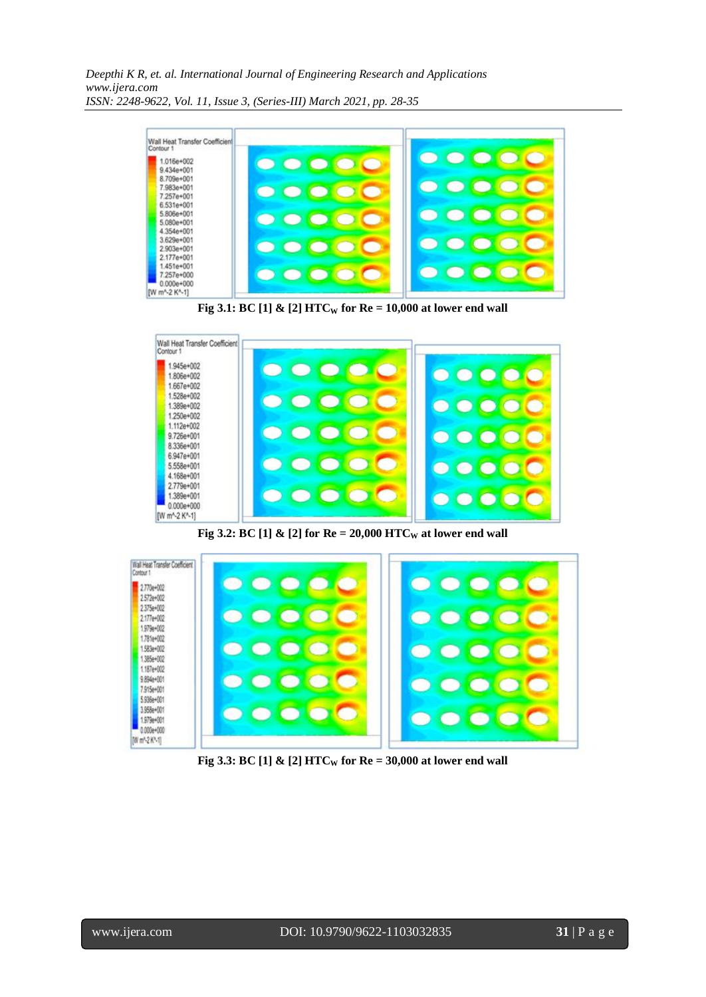*Deepthi K R, et. al. International Journal of Engineering Research and Applications www.ijera.com ISSN: 2248-9622, Vol. 11, Issue 3, (Series-III) March 2021, pp. 28-35*





**Fig 3.3: BC**[1]  $\&$  [2] **HTC**<sup>w</sup> for Re = 30,000 at lower end wall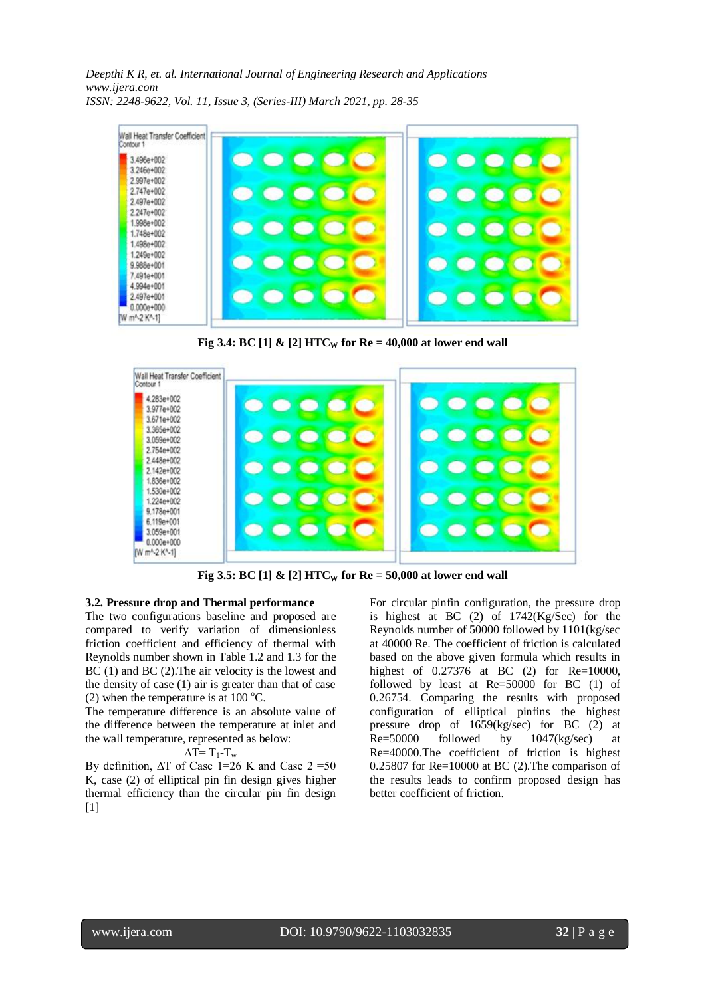*Deepthi K R, et. al. International Journal of Engineering Research and Applications www.ijera.com ISSN: 2248-9622, Vol. 11, Issue 3, (Series-III) March 2021, pp. 28-35*



**Fig 3.4: BC** [1]  $\&$  [2] **HTC**<sup>*w*</sup> for Re = 40,000 at lower end wall



**Fig 3.5: BC [1] & [2] HTC<sup>W</sup> for Re = 50,000 at lower end wall**

#### **3.2. Pressure drop and Thermal performance**

The two configurations baseline and proposed are compared to verify variation of dimensionless friction coefficient and efficiency of thermal with Reynolds number shown in Table 1.2 and 1.3 for the BC (1) and BC (2). The air velocity is the lowest and the density of case (1) air is greater than that of case (2) when the temperature is at  $100^{\circ}$ C.

The temperature difference is an absolute value of the difference between the temperature at inlet and the wall temperature, represented as below:

 $\Delta T = T_1 - T_w$ 

By definition,  $\Delta T$  of Case 1=26 K and Case 2 =50 K, case (2) of elliptical pin fin design gives higher thermal efficiency than the circular pin fin design [1]

For circular pinfin configuration, the pressure drop is highest at BC (2) of 1742(Kg/Sec) for the Reynolds number of 50000 followed by 1101(kg/sec at 40000 Re. The coefficient of friction is calculated based on the above given formula which results in highest of 0.27376 at BC (2) for Re=10000, followed by least at Re=50000 for BC (1) of 0.26754. Comparing the results with proposed configuration of elliptical pinfins the highest pressure drop of 1659(kg/sec) for BC (2) at Re=50000 followed by 1047(kg/sec) at Re=40000.The coefficient of friction is highest 0.25807 for Re=10000 at BC (2).The comparison of the results leads to confirm proposed design has better coefficient of friction.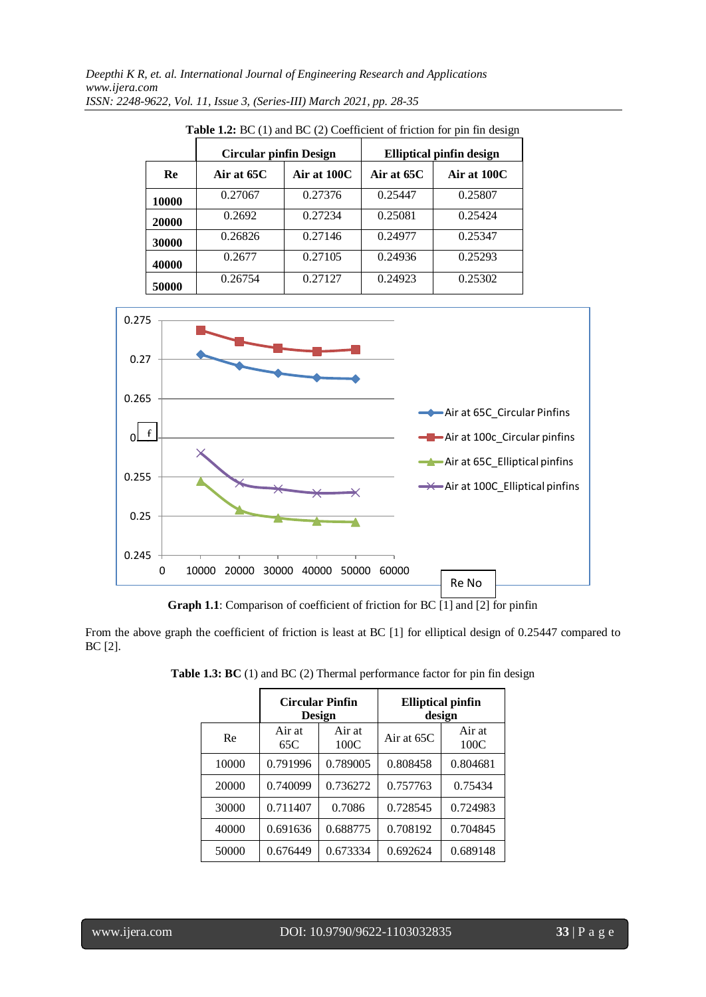|       | <b>Circular pinfin Design</b> |             | <b>Elliptical pinfin design</b> |             |  |
|-------|-------------------------------|-------------|---------------------------------|-------------|--|
| Re    | Air at 65C                    | Air at 100C | Air at 65C                      | Air at 100C |  |
| 10000 | 0.27067                       | 0.27376     | 0.25447                         | 0.25807     |  |
| 20000 | 0.2692                        | 0.27234     | 0.25081                         | 0.25424     |  |
| 30000 | 0.26826                       | 0.27146     | 0.24977                         | 0.25347     |  |
| 40000 | 0.2677                        | 0.27105     | 0.24936                         | 0.25293     |  |
| 50000 | 0.26754                       | 0.27127     | 0.24923                         | 0.25302     |  |

**Table 1.2:** BC (1) and BC (2) Coefficient of friction for pin fin design



**Graph 1.1**: Comparison of coefficient of friction for BC  $\boxed{1}$  and  $\boxed{2}$  for pinfin

From the above graph the coefficient of friction is least at BC [1] for elliptical design of 0.25447 compared to BC [2].

|       | <b>Circular Pinfin</b><br>Design |                | <b>Elliptical pinfin</b><br>design |                |
|-------|----------------------------------|----------------|------------------------------------|----------------|
| Re    | Air at<br>65C                    | Air at<br>100C | Air at $65C$                       | Air at<br>100C |
| 10000 | 0.791996                         | 0.789005       | 0.808458                           | 0.804681       |
| 20000 | 0.740099                         | 0.736272       | 0.757763                           | 0.75434        |
| 30000 | 0.711407                         | 0.7086         | 0.728545                           | 0.724983       |
| 40000 | 0.691636                         | 0.688775       | 0.708192                           | 0.704845       |
| 50000 | 0.676449                         | 0.673334       | 0.692624                           | 0.689148       |

**Table 1.3: BC** (1) and BC (2) Thermal performance factor for pin fin design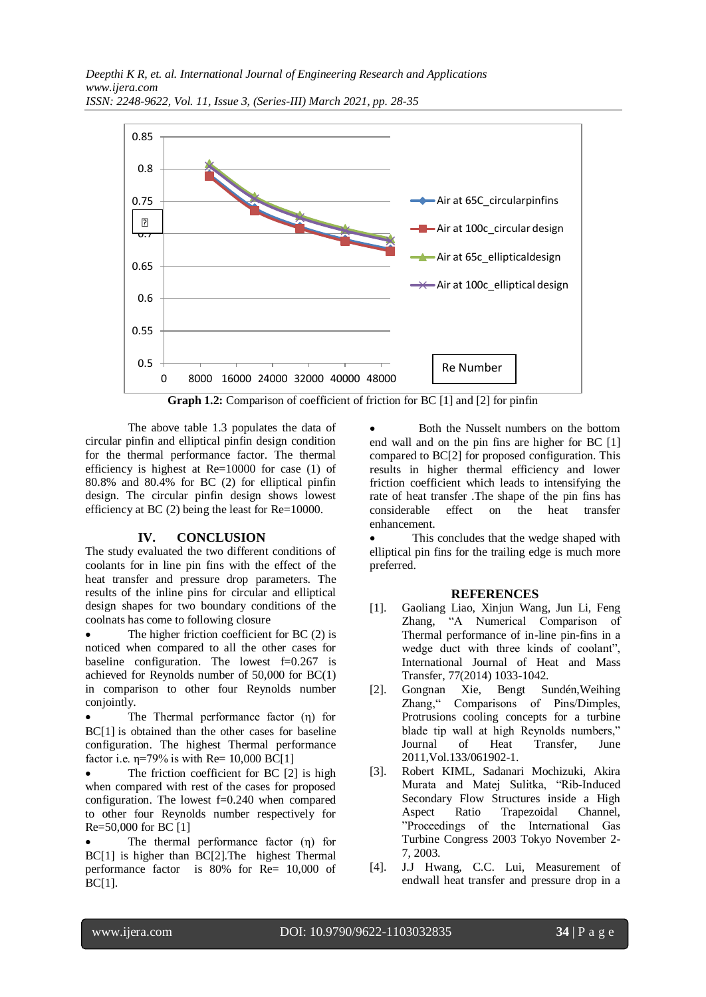

**Graph 1.2:** Comparison of coefficient of friction for BC [1] and [2] for pinfin

The above table 1.3 populates the data of circular pinfin and elliptical pinfin design condition for the thermal performance factor. The thermal efficiency is highest at Re=10000 for case (1) of 80.8% and 80.4% for BC (2) for elliptical pinfin design. The circular pinfin design shows lowest efficiency at BC (2) being the least for Re=10000.

# **IV. CONCLUSION**

The study evaluated the two different conditions of coolants for in line pin fins with the effect of the heat transfer and pressure drop parameters. The results of the inline pins for circular and elliptical design shapes for two boundary conditions of the coolnats has come to following closure

 The higher friction coefficient for BC (2) is noticed when compared to all the other cases for baseline configuration. The lowest  $f=0.267$  is achieved for Reynolds number of 50,000 for BC(1) in comparison to other four Reynolds number conjointly.

 The Thermal performance factor (η) for BC[1] is obtained than the other cases for baseline configuration. The highest Thermal performance factor i.e.  $\eta = 79\%$  is with Re= 10,000 BC[1]

 The friction coefficient for BC [2] is high when compared with rest of the cases for proposed configuration. The lowest f=0.240 when compared to other four Reynolds number respectively for Re=50,000 for BC [1]

 The thermal performance factor (η) for BC[1] is higher than BC[2].The highest Thermal performance factor is 80% for Re= 10,000 of BC[1].

 Both the Nusselt numbers on the bottom end wall and on the pin fins are higher for BC [1] compared to BC[2] for proposed configuration. This results in higher thermal efficiency and lower friction coefficient which leads to intensifying the rate of heat transfer .The shape of the pin fins has considerable effect on the heat transfer enhancement.

 This concludes that the wedge shaped with elliptical pin fins for the trailing edge is much more preferred.

## **REFERENCES**

- [1]. Gaoliang Liao, Xinjun Wang, Jun Li, Feng Zhang, "A Numerical Comparison of Thermal performance of in-line pin-fins in a wedge duct with three kinds of coolant", International Journal of Heat and Mass Transfer, 77(2014) 1033-1042.
- [2]. Gongnan Xie, Bengt Sundén,Weihing Zhang," Comparisons of Pins/Dimples, Protrusions cooling concepts for a turbine blade tip wall at high Reynolds numbers," Journal of Heat Transfer, June 2011,Vol.133/061902-1.
- [3]. Robert KIML, Sadanari Mochizuki, Akira Murata and Matej Sulitka, "Rib-Induced Secondary Flow Structures inside a High Aspect Ratio Trapezoidal Channel, "Proceedings of the International Gas Turbine Congress 2003 Tokyo November 2- 7, 2003.
- [4]. J.J Hwang, C.C. Lui, Measurement of endwall heat transfer and pressure drop in a